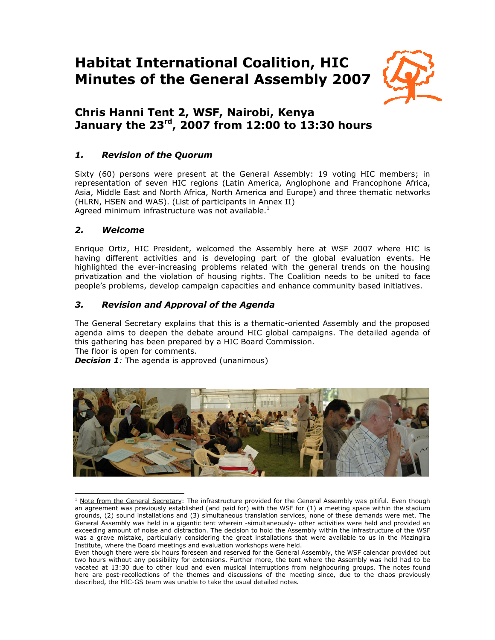# **Habitat International Coalition, HIC Minutes of the General Assembly 2007**



# **Chris Hanni Tent 2, WSF, Nairobi, Kenya January the 23rd, 2007 from 12:00 to 13:30 hours**

# *1. Revision of the Quorum*

Sixty (60) persons were present at the General Assembly: 19 voting HIC members; in representation of seven HIC regions (Latin America, Anglophone and Francophone Africa, Asia, Middle East and North Africa, North America and Europe) and three thematic networks (HLRN, HSEN and WAS). (List of participants in Annex II) Agreed minimum infrastructure was not available. $<sup>1</sup>$ </sup>

### *2. Welcome*

Enrique Ortiz, HIC President, welcomed the Assembly here at WSF 2007 where HIC is having different activities and is developing part of the global evaluation events. He highlighted the ever-increasing problems related with the general trends on the housing privatization and the violation of housing rights. The Coalition needs to be united to face people's problems, develop campaign capacities and enhance community based initiatives.

## *3. Revision and Approval of the Agenda*

The General Secretary explains that this is a thematic-oriented Assembly and the proposed agenda aims to deepen the debate around HIC global campaigns. The detailed agenda of this gathering has been prepared by a HIC Board Commission.

The floor is open for comments.

*Decision 1:* The agenda is approved (unanimous)



 $\overline{a}$ <sup>1</sup> Note from the General Secretary: The infrastructure provided for the General Assembly was pitiful. Even though an agreement was previously established (and paid for) with the WSF for (1) a meeting space within the stadium grounds, (2) sound installations and (3) simultaneous translation services, none of these demands were met. The General Assembly was held in a gigantic tent wherein -simultaneously- other activities were held and provided an exceeding amount of noise and distraction. The decision to hold the Assembly within the infrastructure of the WSF was a grave mistake, particularly considering the great installations that were available to us in the Mazingira Institute, where the Board meetings and evaluation workshops were held.

Even though there were six hours foreseen and reserved for the General Assembly, the WSF calendar provided but two hours without any possibility for extensions. Further more, the tent where the Assembly was held had to be vacated at 13:30 due to other loud and even musical interruptions from neighbouring groups. The notes found here are post-recollections of the themes and discussions of the meeting since, due to the chaos previously described, the HIC-GS team was unable to take the usual detailed notes.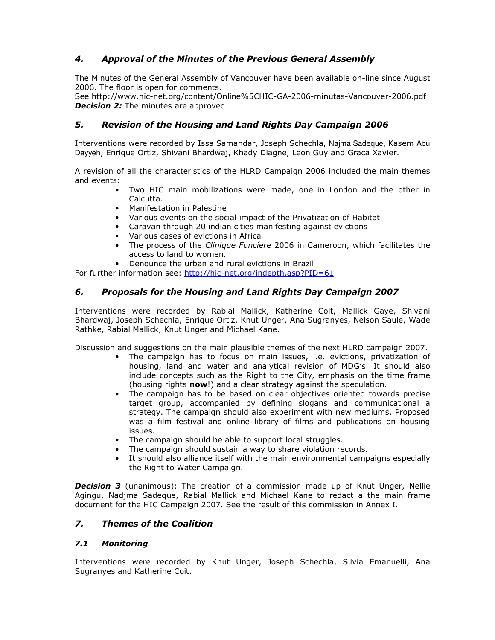# *4. Approval of the Minutes of the Previous General Assembly*

The Minutes of the General Assembly of Vancouver have been available on-line since August 2006. The floor is open for comments.

See http://www.hic-net.org/content/Online%5CHIC-GA-2006-minutas-Vancouver-2006.pdf *Decision 2:* The minutes are approved

### *5. Revision of the Housing and Land Rights Day Campaign 2006*

Interventions were recorded by Issa Samandar, Joseph Schechla, Najma Sadeque, Kasem Abu Dayyeh, Enrique Ortiz, Shivani Bhardwaj, Khady Diagne, Leon Guy and Graca Xavier.

A revision of all the characteristics of the HLRD Campaign 2006 included the main themes and events:

- Two HIC main mobilizations were made, one in London and the other in Calcutta.
- Manifestation in Palestine
- Various events on the social impact of the Privatization of Habitat
- Caravan through 20 indian cities manifesting against evictions
- Various cases of evictions in Africa
- The process of the *Clinique Foncíere* 2006 in Cameroon, which facilitates the access to land to women.
- Denounce the urban and rural evictions in Brazil

For further information see: http://hic-net.org/indepth.asp?PID=61

#### *6. Proposals for the Housing and Land Rights Day Campaign 2007*

Interventions were recorded by Rabial Mallick, Katherine Coit, Mallick Gaye, Shivani Bhardwaj, Joseph Schechla, Enrique Ortiz, Knut Unger, Ana Sugranyes, Nelson Saule, Wade Rathke, Rabial Mallick, Knut Unger and Michael Kane.

Discussion and suggestions on the main plausible themes of the next HLRD campaign 2007.

- The campaign has to focus on main issues, i.e. evictions, privatization of housing, land and water and analytical revision of MDG's. It should also include concepts such as the Right to the City, emphasis on the time frame (housing rights **now**!) and a clear strategy against the speculation.
- The campaign has to be based on clear objectives oriented towards precise target group, accompanied by defining slogans and communicational a strategy. The campaign should also experiment with new mediums. Proposed was a film festival and online library of films and publications on housing issues.
- The campaign should be able to support local struggles.
- The campaign should sustain a way to share violation records.
- It should also alliance itself with the main environmental campaigns especially the Right to Water Campaign.

**Decision 3** (unanimous): The creation of a commission made up of Knut Unger, Nellie Agingu, Nadjma Sadeque, Rabial Mallick and Michael Kane to redact a the main frame document for the HIC Campaign 2007. See the result of this commission in Annex I.

#### *7. Themes of the Coalition*

#### *7.1 Monitoring*

Interventions were recorded by Knut Unger, Joseph Schechla, Silvia Emanuelli, Ana Sugranyes and Katherine Coit.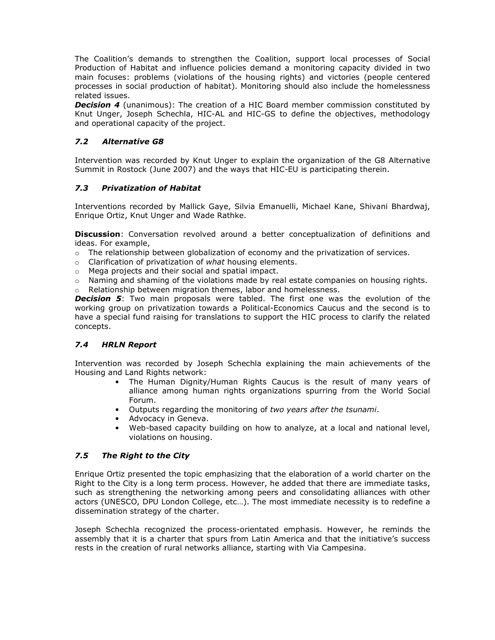The Coalition's demands to strengthen the Coalition, support local processes of Social Production of Habitat and influence policies demand a monitoring capacity divided in two main focuses: problems (violations of the housing rights) and victories (people centered processes in social production of habitat). Monitoring should also include the homelessness related issues.

**Decision 4** (unanimous): The creation of a HIC Board member commission constituted by Knut Unger, Joseph Schechla, HIC-AL and HIC-GS to define the objectives, methodology and operational capacity of the project.

#### *7.2 Alternative G8*

Intervention was recorded by Knut Unger to explain the organization of the G8 Alternative Summit in Rostock (June 2007) and the ways that HIC-EU is participating therein.

#### *7.3 Privatization of Habitat*

Interventions recorded by Mallick Gaye, Silvia Emanuelli, Michael Kane, Shivani Bhardwaj, Enrique Ortiz, Knut Unger and Wade Rathke.

**Discussion**: Conversation revolved around a better conceptualization of definitions and ideas. For example,

- $\circ$  The relationship between globalization of economy and the privatization of services.
- o Clarification of privatization of *what* housing elements.
- o Mega projects and their social and spatial impact.
- o Naming and shaming of the violations made by real estate companies on housing rights.
- o Relationship between migration themes, labor and homelessness.

**Decision 5:** Two main proposals were tabled. The first one was the evolution of the working group on privatization towards a Political-Economics Caucus and the second is to have a special fund raising for translations to support the HIC process to clarify the related concepts.

#### *7.4 HRLN Report*

Intervention was recorded by Joseph Schechla explaining the main achievements of the Housing and Land Rights network:

- The Human Dignity/Human Rights Caucus is the result of many years of alliance among human rights organizations spurring from the World Social Forum.
- Outputs regarding the monitoring of *two years after the tsunami*.
- Advocacy in Geneva.
- Web-based capacity building on how to analyze, at a local and national level, violations on housing.

#### *7.5 The Right to the City*

Enrique Ortiz presented the topic emphasizing that the elaboration of a world charter on the Right to the City is a long term process. However, he added that there are immediate tasks, such as strengthening the networking among peers and consolidating alliances with other actors (UNESCO, DPU London College, etc…). The most immediate necessity is to redefine a dissemination strategy of the charter.

Joseph Schechla recognized the process-orientated emphasis. However, he reminds the assembly that it is a charter that spurs from Latin America and that the initiative's success rests in the creation of rural networks alliance, starting with Via Campesina.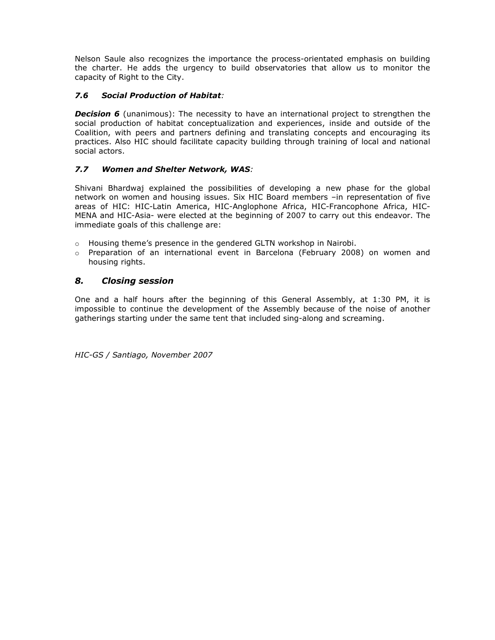Nelson Saule also recognizes the importance the process-orientated emphasis on building the charter. He adds the urgency to build observatories that allow us to monitor the capacity of Right to the City.

#### *7.6 Social Production of Habitat:*

**Decision 6** (unanimous): The necessity to have an international project to strengthen the social production of habitat conceptualization and experiences, inside and outside of the Coalition, with peers and partners defining and translating concepts and encouraging its practices. Also HIC should facilitate capacity building through training of local and national social actors.

#### *7.7 Women and Shelter Network, WAS:*

Shivani Bhardwaj explained the possibilities of developing a new phase for the global network on women and housing issues. Six HIC Board members –in representation of five areas of HIC: HIC-Latin America, HIC-Anglophone Africa, HIC-Francophone Africa, HIC-MENA and HIC-Asia- were elected at the beginning of 2007 to carry out this endeavor. The immediate goals of this challenge are:

- $\circ$  Housing theme's presence in the gendered GLTN workshop in Nairobi.
- o Preparation of an international event in Barcelona (February 2008) on women and housing rights.

#### *8. Closing session*

One and a half hours after the beginning of this General Assembly, at 1:30 PM, it is impossible to continue the development of the Assembly because of the noise of another gatherings starting under the same tent that included sing-along and screaming.

*HIC-GS / Santiago, November 2007*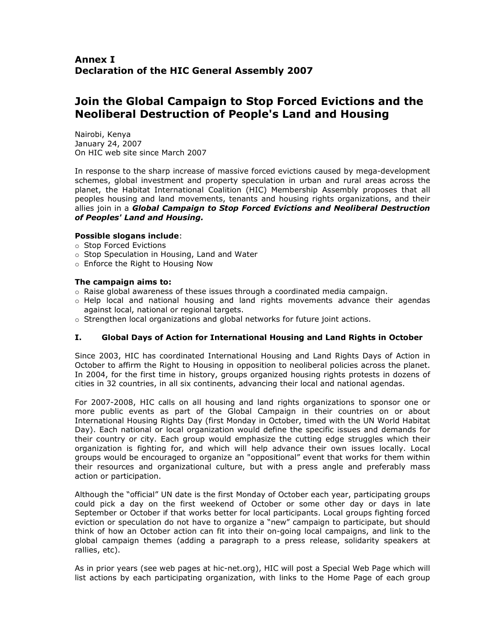# **Join the Global Campaign to Stop Forced Evictions and the Neoliberal Destruction of People's Land and Housing**

Nairobi, Kenya January 24, 2007 On HIC web site since March 2007

In response to the sharp increase of massive forced evictions caused by mega-development schemes, global investment and property speculation in urban and rural areas across the planet, the Habitat International Coalition (HIC) Membership Assembly proposes that all peoples housing and land movements, tenants and housing rights organizations, and their allies join in a *Global Campaign to Stop Forced Evictions and Neoliberal Destruction of Peoples' Land and Housing.* 

#### **Possible slogans include**:

- o Stop Forced Evictions
- o Stop Speculation in Housing, Land and Water
- o Enforce the Right to Housing Now

#### **The campaign aims to:**

- $\circ$  Raise global awareness of these issues through a coordinated media campaign.
- $\circ$  Help local and national housing and land rights movements advance their agendas against local, national or regional targets.
- o Strengthen local organizations and global networks for future joint actions.

#### **I. Global Days of Action for International Housing and Land Rights in October**

Since 2003, HIC has coordinated International Housing and Land Rights Days of Action in October to affirm the Right to Housing in opposition to neoliberal policies across the planet. In 2004, for the first time in history, groups organized housing rights protests in dozens of cities in 32 countries, in all six continents, advancing their local and national agendas.

For 2007-2008, HIC calls on all housing and land rights organizations to sponsor one or more public events as part of the Global Campaign in their countries on or about International Housing Rights Day (first Monday in October, timed with the UN World Habitat Day). Each national or local organization would define the specific issues and demands for their country or city. Each group would emphasize the cutting edge struggles which their organization is fighting for, and which will help advance their own issues locally. Local groups would be encouraged to organize an "oppositional" event that works for them within their resources and organizational culture, but with a press angle and preferably mass action or participation.

Although the "official" UN date is the first Monday of October each year, participating groups could pick a day on the first weekend of October or some other day or days in late September or October if that works better for local participants. Local groups fighting forced eviction or speculation do not have to organize a "new" campaign to participate, but should think of how an October action can fit into their on-going local campaigns, and link to the global campaign themes (adding a paragraph to a press release, solidarity speakers at rallies, etc).

As in prior years (see web pages at hic-net.org), HIC will post a Special Web Page which will list actions by each participating organization, with links to the Home Page of each group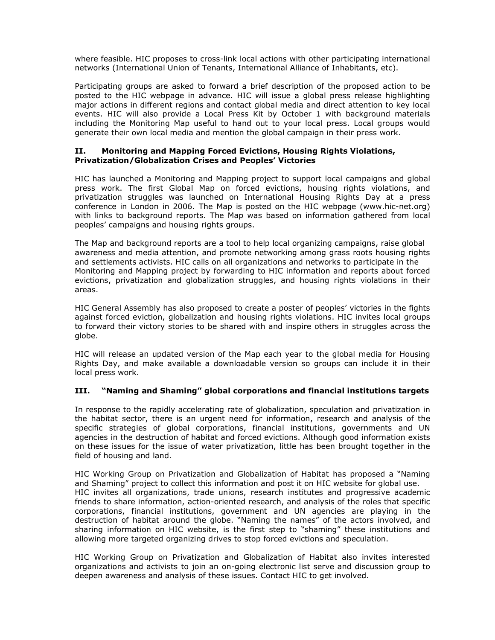where feasible. HIC proposes to cross-link local actions with other participating international networks (International Union of Tenants, International Alliance of Inhabitants, etc).

Participating groups are asked to forward a brief description of the proposed action to be posted to the HIC webpage in advance. HIC will issue a global press release highlighting major actions in different regions and contact global media and direct attention to key local events. HIC will also provide a Local Press Kit by October 1 with background materials including the Monitoring Map useful to hand out to your local press. Local groups would generate their own local media and mention the global campaign in their press work.

#### **II. Monitoring and Mapping Forced Evictions, Housing Rights Violations, Privatization/Globalization Crises and Peoples' Victories**

HIC has launched a Monitoring and Mapping project to support local campaigns and global press work. The first Global Map on forced evictions, housing rights violations, and privatization struggles was launched on International Housing Rights Day at a press conference in London in 2006. The Map is posted on the HIC webpage (www.hic-net.org) with links to background reports. The Map was based on information gathered from local peoples' campaigns and housing rights groups.

The Map and background reports are a tool to help local organizing campaigns, raise global awareness and media attention, and promote networking among grass roots housing rights and settlements activists. HIC calls on all organizations and networks to participate in the Monitoring and Mapping project by forwarding to HIC information and reports about forced evictions, privatization and globalization struggles, and housing rights violations in their areas.

HIC General Assembly has also proposed to create a poster of peoples' victories in the fights against forced eviction, globalization and housing rights violations. HIC invites local groups to forward their victory stories to be shared with and inspire others in struggles across the globe.

HIC will release an updated version of the Map each year to the global media for Housing Rights Day, and make available a downloadable version so groups can include it in their local press work.

#### **III. "Naming and Shaming" global corporations and financial institutions targets**

In response to the rapidly accelerating rate of globalization, speculation and privatization in the habitat sector, there is an urgent need for information, research and analysis of the specific strategies of global corporations, financial institutions, governments and UN agencies in the destruction of habitat and forced evictions. Although good information exists on these issues for the issue of water privatization, little has been brought together in the field of housing and land.

HIC Working Group on Privatization and Globalization of Habitat has proposed a "Naming and Shaming" project to collect this information and post it on HIC website for global use. HIC invites all organizations, trade unions, research institutes and progressive academic friends to share information, action-oriented research, and analysis of the roles that specific corporations, financial institutions, government and UN agencies are playing in the destruction of habitat around the globe. "Naming the names" of the actors involved, and sharing information on HIC website, is the first step to "shaming" these institutions and allowing more targeted organizing drives to stop forced evictions and speculation.

HIC Working Group on Privatization and Globalization of Habitat also invites interested organizations and activists to join an on-going electronic list serve and discussion group to deepen awareness and analysis of these issues. Contact HIC to get involved.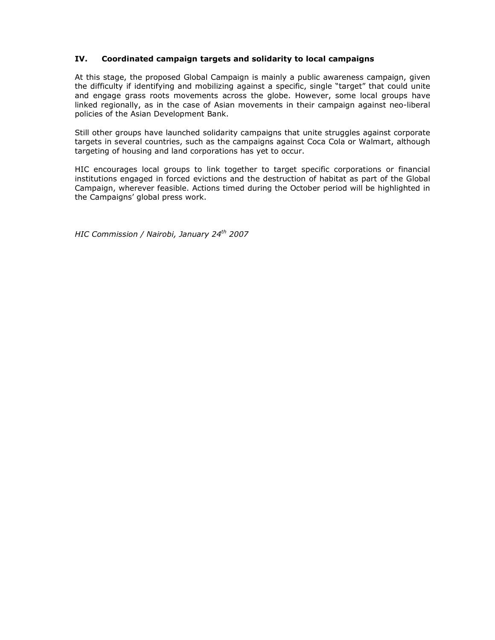#### **IV. Coordinated campaign targets and solidarity to local campaigns**

At this stage, the proposed Global Campaign is mainly a public awareness campaign, given the difficulty if identifying and mobilizing against a specific, single "target" that could unite and engage grass roots movements across the globe. However, some local groups have linked regionally, as in the case of Asian movements in their campaign against neo-liberal policies of the Asian Development Bank.

Still other groups have launched solidarity campaigns that unite struggles against corporate targets in several countries, such as the campaigns against Coca Cola or Walmart, although targeting of housing and land corporations has yet to occur.

HIC encourages local groups to link together to target specific corporations or financial institutions engaged in forced evictions and the destruction of habitat as part of the Global Campaign, wherever feasible. Actions timed during the October period will be highlighted in the Campaigns' global press work.

*HIC Commission / Nairobi, January 24th 2007*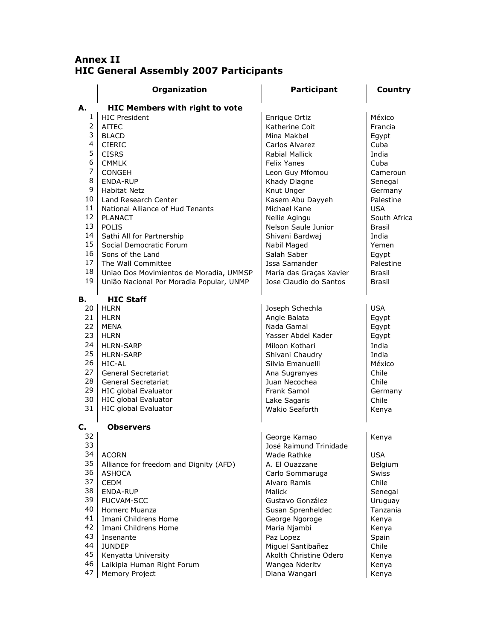# **Annex II HIC General Assembly 2007 Participants**

|    | Organization                             | <b>Participant</b>      | Country       |
|----|------------------------------------------|-------------------------|---------------|
| А. | <b>HIC Members with right to vote</b>    |                         |               |
| 1  | <b>HIC President</b>                     | Enrique Ortiz           | México        |
| 2  | AITEC                                    | Katherine Coit          | Francia       |
| 3  | <b>BLACD</b>                             | Mina Makhel             | Egypt         |
| 4  | <b>CIERIC</b>                            | Carlos Alvarez          | Cuba          |
| 5  | <b>CISRS</b>                             | Rabial Mallick          | India         |
| 6  | <b>CMMLK</b>                             | <b>Felix Yanes</b>      | Cuba          |
| 7  | <b>CONGEH</b>                            | Leon Guy Mfomou         | Cameroun      |
| 8  | <b>ENDA-RUP</b>                          | Khady Diagne            | Senegal       |
| 9  | <b>Habitat Netz</b>                      | Knut Unger              | Germany       |
| 10 | Land Research Center                     | Kasem Abu Dayyeh        | Palestine     |
| 11 | National Alliance of Hud Tenants         | Michael Kane            | <b>USA</b>    |
| 12 | <b>PLANACT</b>                           | Nellie Agingu           | South Africa  |
| 13 | POLIS                                    | Nelson Saule Junior     | <b>Brasil</b> |
| 14 | Sathi All for Partnership                | Shivani Bardwaj         | India         |
| 15 | Social Democratic Forum                  | Nabil Maged             | Yemen         |
| 16 | Sons of the Land                         | Salah Saber             | Egypt         |
| 17 | The Wall Committee                       | Issa Samander           | Palestine     |
| 18 | Uniao Dos Movimientos de Moradia, UMMSP  | María das Graças Xavier | <b>Brasil</b> |
| 19 | União Nacional Por Moradia Popular, UNMP | Jose Claudio do Santos  | <b>Brasil</b> |
| в. | <b>HIC Staff</b>                         |                         |               |
| 20 | <b>HLRN</b>                              | Joseph Schechla         | <b>USA</b>    |
| 21 | HLRN                                     | Angie Balata            | Egypt         |
| 22 | <b>MENA</b>                              | Nada Gamal              | Egypt         |
| 23 | HLRN                                     | Yasser Abdel Kader      | Egypt         |
| 24 | <b>HLRN-SARP</b>                         | Miloon Kothari          | India         |
| 25 | <b>HLRN-SARP</b>                         | Shivani Chaudry         | India         |
| 26 | HIC-AL                                   | Silvia Emanuelli        | México        |
| 27 | General Secretariat                      | Ana Sugranyes           | Chile         |
| 28 | General Secretariat                      | Juan Necochea           | Chile         |
| 29 | <b>HIC global Evaluator</b>              | Frank Samol             | Germany       |
| 30 | HIC global Evaluator                     | Lake Sagaris            | Chile         |
| 31 | <b>HIC global Evaluator</b>              | Wakio Seaforth          | Kenya         |
| C. | <b>Observers</b>                         |                         |               |
| 32 |                                          | George Kamao            | Kenya         |
| 33 |                                          | José Raimund Trinidade  |               |
| 34 | <b>ACORN</b>                             | Wade Rathke             | <b>USA</b>    |
| 35 | Alliance for freedom and Dignity (AFD)   | A. El Ouazzane          | Belgium       |
| 36 | <b>ASHOCA</b>                            | Carlo Sommaruga         | <b>Swiss</b>  |
| 37 | <b>CEDM</b>                              | Alvaro Ramis            | Chile         |
| 38 | ENDA-RUP                                 | Malick                  | Senegal       |
| 39 | <b>FUCVAM-SCC</b>                        | Gustavo González        | Uruguay       |
| 40 | Homerc Muanza                            | Susan Sprenheldec       | Tanzania      |
| 41 | Imani Childrens Home                     | George Ngoroge          | Kenya         |
| 42 | Imani Childrens Home                     | Maria Njambi            | Kenya         |
| 43 | Insenante                                | Paz Lopez               | Spain         |
| 44 | <b>JUNDEP</b>                            | Miguel Santibañez       | Chile         |
| 45 | Kenyatta University                      | Akolth Christine Odero  | Kenya         |
| 46 | Laikipia Human Right Forum               | Wangea Nderity          | Kenya         |
| 47 | Memory Project                           | Diana Wangari           | Kenya         |